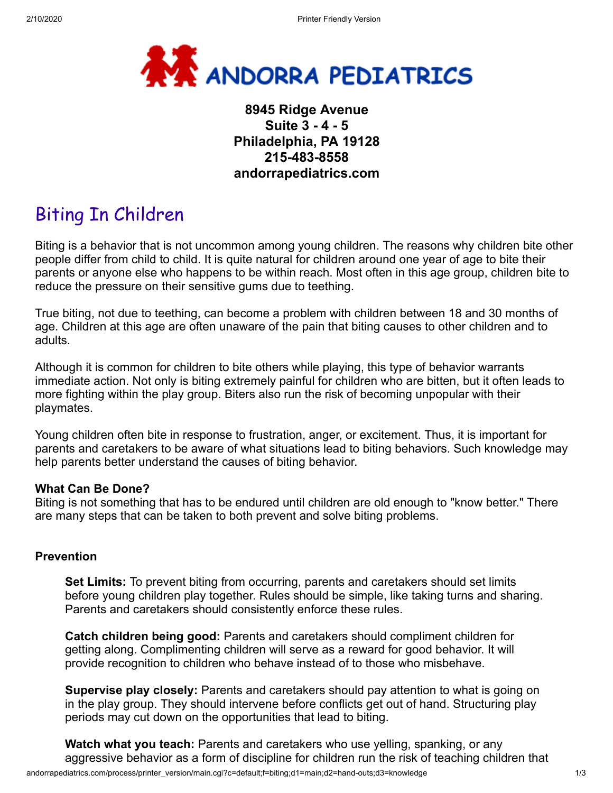

# **8945 Ridge Avenue Suite 3 - 4 - 5 Philadelphia, PA 19128 215-483-8558 andorrapediatrics.com**

# Biting In Children

Biting is a behavior that is not uncommon among young children. The reasons why children bite other people differ from child to child. It is quite natural for children around one year of age to bite their parents or anyone else who happens to be within reach. Most often in this age group, children bite to reduce the pressure on their sensitive gums due to teething.

True biting, not due to teething, can become a problem with children between 18 and 30 months of age. Children at this age are often unaware of the pain that biting causes to other children and to adults.

Although it is common for children to bite others while playing, this type of behavior warrants immediate action. Not only is biting extremely painful for children who are bitten, but it often leads to more fighting within the play group. Biters also run the risk of becoming unpopular with their playmates.

Young children often bite in response to frustration, anger, or excitement. Thus, it is important for parents and caretakers to be aware of what situations lead to biting behaviors. Such knowledge may help parents better understand the causes of biting behavior.

# **What Can Be Done?**

Biting is not something that has to be endured until children are old enough to "know better." There are many steps that can be taken to both prevent and solve biting problems.

# **Prevention**

**Set Limits:** To prevent biting from occurring, parents and caretakers should set limits before young children play together. Rules should be simple, like taking turns and sharing. Parents and caretakers should consistently enforce these rules.

**Catch children being good:** Parents and caretakers should compliment children for getting along. Complimenting children will serve as a reward for good behavior. It will provide recognition to children who behave instead of to those who misbehave.

**Supervise play closely:** Parents and caretakers should pay attention to what is going on in the play group. They should intervene before conflicts get out of hand. Structuring play periods may cut down on the opportunities that lead to biting.

andorrapediatrics.com/process/printer\_version/main.cgi?c=default;f=biting;d1=main;d2=hand-outs;d3=knowledge 1/3 **Watch what you teach:** Parents and caretakers who use yelling, spanking, or any aggressive behavior as a form of discipline for children run the risk of teaching children that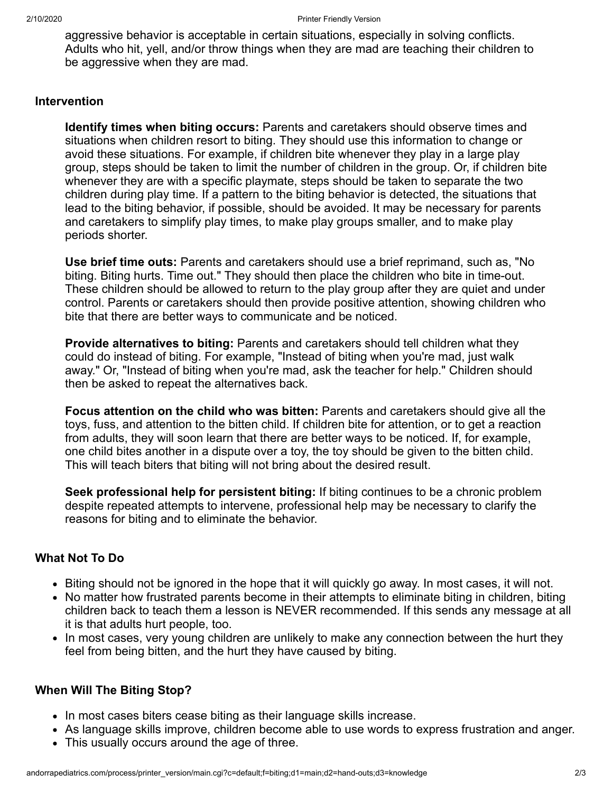aggressive behavior is acceptable in certain situations, especially in solving conflicts. Adults who hit, yell, and/or throw things when they are mad are teaching their children to be aggressive when they are mad.

# **Intervention**

**Identify times when biting occurs:** Parents and caretakers should observe times and situations when children resort to biting. They should use this information to change or avoid these situations. For example, if children bite whenever they play in a large play group, steps should be taken to limit the number of children in the group. Or, if children bite whenever they are with a specific playmate, steps should be taken to separate the two children during play time. If a pattern to the biting behavior is detected, the situations that lead to the biting behavior, if possible, should be avoided. It may be necessary for parents and caretakers to simplify play times, to make play groups smaller, and to make play periods shorter.

**Use brief time outs:** Parents and caretakers should use a brief reprimand, such as, "No biting. Biting hurts. Time out." They should then place the children who bite in time-out. These children should be allowed to return to the play group after they are quiet and under control. Parents or caretakers should then provide positive attention, showing children who bite that there are better ways to communicate and be noticed.

**Provide alternatives to biting:** Parents and caretakers should tell children what they could do instead of biting. For example, "Instead of biting when you're mad, just walk away." Or, "Instead of biting when you're mad, ask the teacher for help." Children should then be asked to repeat the alternatives back.

**Focus attention on the child who was bitten:** Parents and caretakers should give all the toys, fuss, and attention to the bitten child. If children bite for attention, or to get a reaction from adults, they will soon learn that there are better ways to be noticed. If, for example, one child bites another in a dispute over a toy, the toy should be given to the bitten child. This will teach biters that biting will not bring about the desired result.

**Seek professional help for persistent biting:** If biting continues to be a chronic problem despite repeated attempts to intervene, professional help may be necessary to clarify the reasons for biting and to eliminate the behavior.

# **What Not To Do**

- Biting should not be ignored in the hope that it will quickly go away. In most cases, it will not.
- No matter how frustrated parents become in their attempts to eliminate biting in children, biting children back to teach them a lesson is NEVER recommended. If this sends any message at all it is that adults hurt people, too.
- In most cases, very young children are unlikely to make any connection between the hurt they feel from being bitten, and the hurt they have caused by biting.

# **When Will The Biting Stop?**

- In most cases biters cease biting as their language skills increase.
- As language skills improve, children become able to use words to express frustration and anger.
- This usually occurs around the age of three.